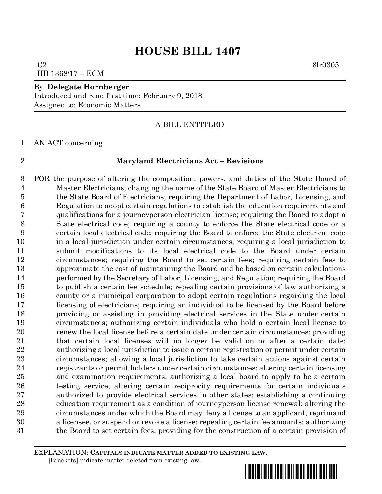$C2 \hspace{0.2cm} 8\text{l}r0305$ HB 1368/17 – ECM

#### By: **Delegate Hornberger** Introduced and read first time: February 9, 2018 Assigned to: Economic Matters

### A BILL ENTITLED

AN ACT concerning

#### **Maryland Electricians Act – Revisions**

 FOR the purpose of altering the composition, powers, and duties of the State Board of Master Electricians; changing the name of the State Board of Master Electricians to the State Board of Electricians; requiring the Department of Labor, Licensing, and Regulation to adopt certain regulations to establish the education requirements and qualifications for a journeyperson electrician license; requiring the Board to adopt a State electrical code; requiring a county to enforce the State electrical code or a certain local electrical code; requiring the Board to enforce the State electrical code in a local jurisdiction under certain circumstances; requiring a local jurisdiction to submit modifications to its local electrical code to the Board under certain circumstances; requiring the Board to set certain fees; requiring certain fees to approximate the cost of maintaining the Board and be based on certain calculations performed by the Secretary of Labor, Licensing, and Regulation; requiring the Board to publish a certain fee schedule; repealing certain provisions of law authorizing a county or a municipal corporation to adopt certain regulations regarding the local licensing of electricians; requiring an individual to be licensed by the Board before providing or assisting in providing electrical services in the State under certain circumstances; authorizing certain individuals who hold a certain local license to renew the local license before a certain date under certain circumstances; providing that certain local licenses will no longer be valid on or after a certain date; authorizing a local jurisdiction to issue a certain registration or permit under certain circumstances; allowing a local jurisdiction to take certain actions against certain registrants or permit holders under certain circumstances; altering certain licensing and examination requirements; authorizing a local board to apply to be a certain testing service; altering certain reciprocity requirements for certain individuals authorized to provide electrical services in other states; establishing a continuing education requirement as a condition of journeyperson license renewal; altering the circumstances under which the Board may deny a license to an applicant, reprimand a licensee, or suspend or revoke a license; repealing certain fee amounts; authorizing the Board to set certain fees; providing for the construction of a certain provision of

EXPLANATION: **CAPITALS INDICATE MATTER ADDED TO EXISTING LAW**.  **[**Brackets**]** indicate matter deleted from existing law.

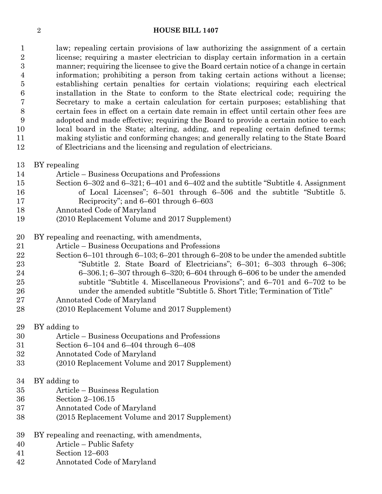law; repealing certain provisions of law authorizing the assignment of a certain license; requiring a master electrician to display certain information in a certain manner; requiring the licensee to give the Board certain notice of a change in certain information; prohibiting a person from taking certain actions without a license; establishing certain penalties for certain violations; requiring each electrical installation in the State to conform to the State electrical code; requiring the Secretary to make a certain calculation for certain purposes; establishing that certain fees in effect on a certain date remain in effect until certain other fees are adopted and made effective; requiring the Board to provide a certain notice to each local board in the State; altering, adding, and repealing certain defined terms; making stylistic and conforming changes; and generally relating to the State Board of Electricians and the licensing and regulation of electricians.

- BY repealing
- Article Business Occupations and Professions
- Section 6–302 and 6–321; 6–401 and 6–402 and the subtitle "Subtitle 4. Assignment of Local Licenses"; 6–501 through 6–506 and the subtitle "Subtitle 5. Reciprocity"; and 6–601 through 6–603
- Annotated Code of Maryland
- (2010 Replacement Volume and 2017 Supplement)
- BY repealing and reenacting, with amendments,
- Article Business Occupations and Professions
- Section 6–101 through 6–103; 6–201 through 6–208 to be under the amended subtitle "Subtitle 2. State Board of Electricians"; 6–301; 6–303 through 6–306; 6–306.1; 6–307 through 6–320; 6–604 through 6–606 to be under the amended subtitle "Subtitle 4. Miscellaneous Provisions"; and 6–701 and 6–702 to be under the amended subtitle "Subtitle 5. Short Title; Termination of Title"
- Annotated Code of Maryland
- (2010 Replacement Volume and 2017 Supplement)

BY adding to

- Article Business Occupations and Professions
- Section 6–104 and 6–404 through 6–408
- Annotated Code of Maryland
- (2010 Replacement Volume and 2017 Supplement)
- BY adding to
- Article Business Regulation
- Section 2–106.15
- Annotated Code of Maryland
- (2015 Replacement Volume and 2017 Supplement)
- BY repealing and reenacting, with amendments,
- Article Public Safety
- Section 12–603
- Annotated Code of Maryland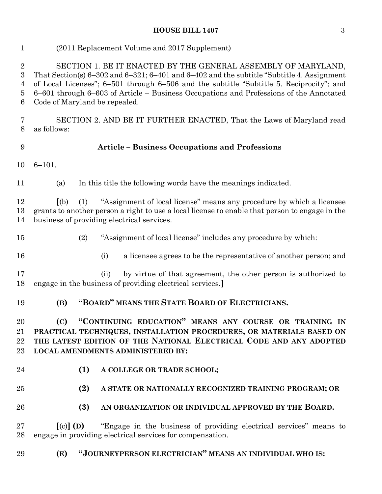| $\mathbf{1}$                                                   | (2011 Replacement Volume and 2017 Supplement)                                                                                                                                                                                                                                                                                                                                              |
|----------------------------------------------------------------|--------------------------------------------------------------------------------------------------------------------------------------------------------------------------------------------------------------------------------------------------------------------------------------------------------------------------------------------------------------------------------------------|
| $\boldsymbol{2}$<br>3<br>$\overline{4}$<br>$\overline{5}$<br>6 | SECTION 1. BE IT ENACTED BY THE GENERAL ASSEMBLY OF MARYLAND,<br>That Section(s) $6-302$ and $6-321$ ; $6-401$ and $6-402$ and the subtitle "Subtitle 4. Assignment"<br>of Local Licenses"; 6–501 through 6–506 and the subtitle "Subtitle 5. Reciprocity"; and<br>6-601 through 6-603 of Article - Business Occupations and Professions of the Annotated<br>Code of Maryland be repealed. |
| 7<br>8                                                         | SECTION 2. AND BE IT FURTHER ENACTED, That the Laws of Maryland read<br>as follows:                                                                                                                                                                                                                                                                                                        |
| 9                                                              | <b>Article - Business Occupations and Professions</b>                                                                                                                                                                                                                                                                                                                                      |
| 10                                                             | $6 - 101.$                                                                                                                                                                                                                                                                                                                                                                                 |
| 11                                                             | In this title the following words have the meanings indicated.<br>(a)                                                                                                                                                                                                                                                                                                                      |
| 12<br>13<br>14                                                 | "Assignment of local license" means any procedure by which a licensee<br>(a)<br>(1)<br>grants to another person a right to use a local license to enable that person to engage in the<br>business of providing electrical services.                                                                                                                                                        |
| 15                                                             | "Assignment of local license" includes any procedure by which:<br>(2)                                                                                                                                                                                                                                                                                                                      |
| 16                                                             | a licensee agrees to be the representative of another person; and<br>(i)                                                                                                                                                                                                                                                                                                                   |
| 17<br>18                                                       | by virtue of that agreement, the other person is authorized to<br>(ii)<br>engage in the business of providing electrical services.                                                                                                                                                                                                                                                         |
| 19                                                             | "BOARD" MEANS THE STATE BOARD OF ELECTRICIANS.<br>(B)                                                                                                                                                                                                                                                                                                                                      |
| 20<br>21<br>22<br>23                                           | "CONTINUING EDUCATION" MEANS ANY COURSE OR TRAINING IN<br>(C)<br>PRACTICAL TECHNIQUES, INSTALLATION PROCEDURES, OR MATERIALS BASED ON<br>THE LATEST EDITION OF THE NATIONAL ELECTRICAL CODE AND ANY ADOPTED<br><b>LOCAL AMENDMENTS ADMINISTERED BY:</b>                                                                                                                                    |
| 24                                                             | (1)<br>A COLLEGE OR TRADE SCHOOL;                                                                                                                                                                                                                                                                                                                                                          |
| 25                                                             | (2)<br>A STATE OR NATIONALLY RECOGNIZED TRAINING PROGRAM; OR                                                                                                                                                                                                                                                                                                                               |
| 26                                                             | (3)<br>AN ORGANIZATION OR INDIVIDUAL APPROVED BY THE BOARD.                                                                                                                                                                                                                                                                                                                                |
| 27<br>28                                                       | $\left[ \text{(c)} \right]$ (D)<br>"Engage in the business of providing electrical services" means to<br>engage in providing electrical services for compensation.                                                                                                                                                                                                                         |
| 29                                                             | "JOURNEYPERSON ELECTRICIAN" MEANS AN INDIVIDUAL WHO IS:<br>(E)                                                                                                                                                                                                                                                                                                                             |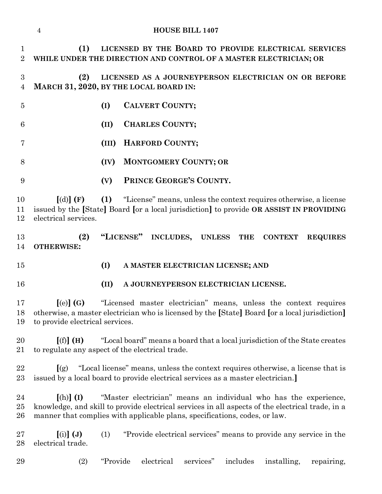|                                    | $\overline{4}$                                                                                                                                                                                |          |           | <b>HOUSE BILL 1407</b>       |           |               |                                      |                                                                                 |                                                                   |
|------------------------------------|-----------------------------------------------------------------------------------------------------------------------------------------------------------------------------------------------|----------|-----------|------------------------------|-----------|---------------|--------------------------------------|---------------------------------------------------------------------------------|-------------------------------------------------------------------|
| $\mathbf{1}$<br>$\overline{2}$     | (1)<br>WHILE UNDER THE DIRECTION AND CONTROL OF A MASTER ELECTRICIAN; OR                                                                                                                      |          |           |                              |           |               |                                      |                                                                                 | LICENSED BY THE BOARD TO PROVIDE ELECTRICAL SERVICES              |
| $\boldsymbol{3}$<br>$\overline{4}$ | (2)<br>MARCH 31, 2020, BY THE LOCAL BOARD IN:                                                                                                                                                 |          |           |                              |           |               |                                      |                                                                                 | LICENSED AS A JOURNEYPERSON ELECTRICIAN ON OR BEFORE              |
| $\overline{5}$                     |                                                                                                                                                                                               | (I)      |           | <b>CALVERT COUNTY;</b>       |           |               |                                      |                                                                                 |                                                                   |
| 6                                  |                                                                                                                                                                                               | (II)     |           | <b>CHARLES COUNTY;</b>       |           |               |                                      |                                                                                 |                                                                   |
| 7                                  |                                                                                                                                                                                               | (III)    |           | HARFORD COUNTY;              |           |               |                                      |                                                                                 |                                                                   |
| 8                                  |                                                                                                                                                                                               | (IV)     |           | <b>MONTGOMERY COUNTY; OR</b> |           |               |                                      |                                                                                 |                                                                   |
| 9                                  |                                                                                                                                                                                               | (V)      |           | PRINCE GEORGE'S COUNTY.      |           |               |                                      |                                                                                 |                                                                   |
| 10<br>11<br>12                     | $\lceil$ (d) $\rceil$ (F)<br>issued by the [State] Board [or a local jurisdiction] to provide OR ASSIST IN PROVIDING<br>electrical services.                                                  | (1)      |           |                              |           |               |                                      |                                                                                 | "License" means, unless the context requires otherwise, a license |
| 13<br>14                           | (2)<br><b>OTHERWISE:</b>                                                                                                                                                                      |          | "LICENSE" | <b>INCLUDES,</b>             |           | <b>UNLESS</b> | <b>THE</b>                           | <b>CONTEXT</b>                                                                  | <b>REQUIRES</b>                                                   |
| 15                                 |                                                                                                                                                                                               | (I)      |           |                              |           |               | A MASTER ELECTRICIAN LICENSE; AND    |                                                                                 |                                                                   |
| 16                                 |                                                                                                                                                                                               | (II)     |           |                              |           |               | A JOURNEYPERSON ELECTRICIAN LICENSE. |                                                                                 |                                                                   |
| 17<br>18<br>19                     | $\left[$ (e) $\right]$ (G)<br>otherwise, a master electrician who is licensed by the [State] Board [or a local jurisdiction]<br>to provide electrical services.                               |          |           |                              |           |               |                                      |                                                                                 | "Licensed master electrician" means, unless the context requires  |
| 20<br>21                           | [(f)] (H)<br>to regulate any aspect of the electrical trade.                                                                                                                                  |          |           |                              |           |               |                                      | "Local board" means a board that a local jurisdiction of the State creates      |                                                                   |
| 22<br>$23\,$                       | $\left[\right(\mathbf{g}\right)$<br>issued by a local board to provide electrical services as a master electrician.                                                                           |          |           |                              |           |               |                                      | "Local license" means, unless the context requires otherwise, a license that is |                                                                   |
| 24<br>$25\,$<br>26                 | $[(h)]$ (I)<br>knowledge, and skill to provide electrical services in all aspects of the electrical trade, in a<br>manner that complies with applicable plans, specifications, codes, or law. |          |           |                              |           |               |                                      | "Master electrician" means an individual who has the experience,                |                                                                   |
| $27\,$<br>28                       | $[(i)]$ $(J)$<br>electrical trade.                                                                                                                                                            | (1)      |           |                              |           |               |                                      | "Provide electrical services" means to provide any service in the               |                                                                   |
| 29                                 | (2)                                                                                                                                                                                           | "Provide |           | electrical                   | services" |               | includes                             | installing,                                                                     | repairing,                                                        |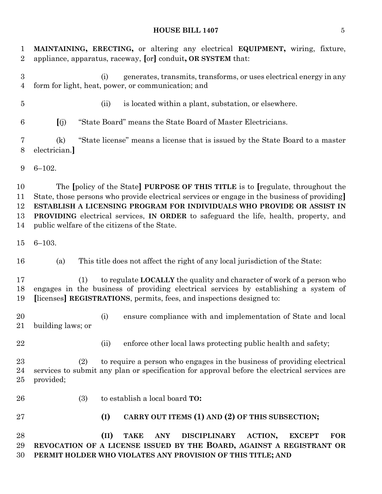| $\mathbf 1$<br>$\overline{2}$      | MAINTAINING, ERECTING, or altering any electrical EQUIPMENT, wiring, fixture,<br>appliance, apparatus, raceway, [or] conduit, OR SYSTEM that:                                                                                                                                                                                                                                                                  |
|------------------------------------|----------------------------------------------------------------------------------------------------------------------------------------------------------------------------------------------------------------------------------------------------------------------------------------------------------------------------------------------------------------------------------------------------------------|
| $\boldsymbol{3}$<br>$\overline{4}$ | generates, transmits, transforms, or uses electrical energy in any<br>(i)<br>form for light, heat, power, or communication; and                                                                                                                                                                                                                                                                                |
| $\overline{5}$                     | is located within a plant, substation, or elsewhere.<br>(ii)                                                                                                                                                                                                                                                                                                                                                   |
| 6                                  | "State Board" means the State Board of Master Electricians.<br>(i)                                                                                                                                                                                                                                                                                                                                             |
| 7<br>8                             | "State license" means a license that is issued by the State Board to a master<br>(k)<br>electrician.]                                                                                                                                                                                                                                                                                                          |
| 9                                  | $6 - 102.$                                                                                                                                                                                                                                                                                                                                                                                                     |
| 10<br>11<br>12<br>13<br>14         | The [policy of the State] PURPOSE OF THIS TITLE is to [regulate, throughout the<br>State, those persons who provide electrical services or engage in the business of providing<br>ESTABLISH A LICENSING PROGRAM FOR INDIVIDUALS WHO PROVIDE OR ASSIST IN<br><b>PROVIDING</b> electrical services, <b>IN ORDER</b> to safeguard the life, health, property, and<br>public welfare of the citizens of the State. |
| 15                                 | $6 - 103.$                                                                                                                                                                                                                                                                                                                                                                                                     |
| 16                                 | This title does not affect the right of any local jurisdiction of the State:<br>(a)                                                                                                                                                                                                                                                                                                                            |
| 17<br>18<br>19                     | to regulate LOCALLY the quality and character of work of a person who<br>(1)<br>engages in the business of providing electrical services by establishing a system of<br>[licenses] REGISTRATIONS, permits, fees, and inspections designed to:                                                                                                                                                                  |
| 20                                 | ensure compliance with and implementation of State and local<br>(i)<br>21 building laws; or                                                                                                                                                                                                                                                                                                                    |
| 22                                 | enforce other local laws protecting public health and safety;<br>(ii)                                                                                                                                                                                                                                                                                                                                          |
| 23<br>24<br>25                     | to require a person who engages in the business of providing electrical<br>(2)<br>services to submit any plan or specification for approval before the electrical services are<br>provided;                                                                                                                                                                                                                    |
| 26                                 | to establish a local board TO:<br>(3)                                                                                                                                                                                                                                                                                                                                                                          |
| $27\,$                             | (I)<br>CARRY OUT ITEMS (1) AND (2) OF THIS SUBSECTION;                                                                                                                                                                                                                                                                                                                                                         |
| 28<br>29<br>30                     | (II)<br><b>DISCIPLINARY</b><br><b>FOR</b><br><b>TAKE</b><br><b>ANY</b><br>ACTION,<br><b>EXCEPT</b><br>REVOCATION OF A LICENSE ISSUED BY THE BOARD, AGAINST A REGISTRANT OR<br>PERMIT HOLDER WHO VIOLATES ANY PROVISION OF THIS TITLE; AND                                                                                                                                                                      |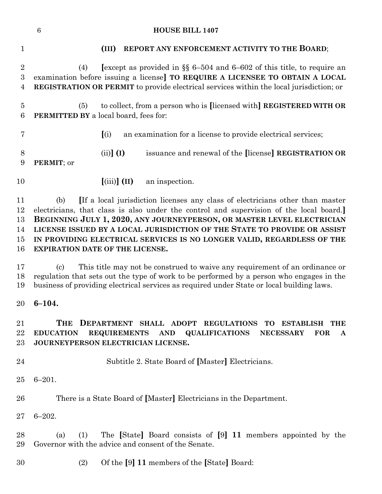|                                     | <b>HOUSE BILL 1407</b><br>$6\phantom{.}6$                                                                                                                                                                                                                                                                                                                                                                                                         |
|-------------------------------------|---------------------------------------------------------------------------------------------------------------------------------------------------------------------------------------------------------------------------------------------------------------------------------------------------------------------------------------------------------------------------------------------------------------------------------------------------|
| $\mathbf{1}$                        | REPORT ANY ENFORCEMENT ACTIVITY TO THE BOARD;<br>(III)                                                                                                                                                                                                                                                                                                                                                                                            |
| $\sqrt{2}$<br>$\boldsymbol{3}$<br>4 | [except as provided in $\S$ 6-504 and 6-602 of this title, to require an<br>(4)<br>examination before issuing a license] TO REQUIRE A LICENSEE TO OBTAIN A LOCAL<br><b>REGISTRATION OR PERMIT</b> to provide electrical services within the local jurisdiction; or                                                                                                                                                                                |
| $\overline{5}$<br>6                 | to collect, from a person who is [licensed with] REGISTERED WITH OR<br>(5)<br><b>PERMITTED BY</b> a local board, fees for:                                                                                                                                                                                                                                                                                                                        |
| 7                                   | (i)<br>an examination for a license to provide electrical services;                                                                                                                                                                                                                                                                                                                                                                               |
| 8<br>9                              | $(ii)$ (I)<br>issuance and renewal of the [license] REGISTRATION OR<br>PERMIT; or                                                                                                                                                                                                                                                                                                                                                                 |
| 10                                  | $(iii)$ (II)<br>an inspection.                                                                                                                                                                                                                                                                                                                                                                                                                    |
| 11<br>12<br>13<br>14<br>15<br>16    | If a local jurisdiction licenses any class of electricians other than master<br>(b)<br>electricians, that class is also under the control and supervision of the local board.]<br>BEGINNING JULY 1, 2020, ANY JOURNEYPERSON, OR MASTER LEVEL ELECTRICIAN<br>LICENSE ISSUED BY A LOCAL JURISDICTION OF THE STATE TO PROVIDE OR ASSIST<br>IN PROVIDING ELECTRICAL SERVICES IS NO LONGER VALID, REGARDLESS OF THE<br>EXPIRATION DATE OF THE LICENSE. |
| 17<br>18<br>19                      | This title may not be construed to waive any requirement of an ordinance or<br>$\left( \mathrm{c}\right)$<br>regulation that sets out the type of work to be performed by a person who engages in the<br>business of providing electrical services as required under State or local building laws.                                                                                                                                                |
| 20                                  | $6 - 104.$                                                                                                                                                                                                                                                                                                                                                                                                                                        |
| 21<br>22<br>23                      | THE<br>DEPARTMENT SHALL ADOPT REGULATIONS<br>TO<br><b>ESTABLISH</b><br>THE<br><b>EDUCATION</b><br>REQUIREMENTS AND<br>QUALIFICATIONS<br><b>NECESSARY</b><br><b>FOR</b><br>A<br>JOURNEYPERSON ELECTRICIAN LICENSE.                                                                                                                                                                                                                                 |
| 24                                  | Subtitle 2. State Board of [Master] Electricians.                                                                                                                                                                                                                                                                                                                                                                                                 |
| 25                                  | $6 - 201.$                                                                                                                                                                                                                                                                                                                                                                                                                                        |
| 26                                  | There is a State Board of [Master] Electricians in the Department.                                                                                                                                                                                                                                                                                                                                                                                |
| $27\,$                              | $6 - 202.$                                                                                                                                                                                                                                                                                                                                                                                                                                        |
| 28<br>29                            | The [State] Board consists of [9] 11 members appointed by the<br>(1)<br>(a)<br>Governor with the advice and consent of the Senate.                                                                                                                                                                                                                                                                                                                |
| 30                                  | Of the [9] 11 members of the [State] Board:<br>(2)                                                                                                                                                                                                                                                                                                                                                                                                |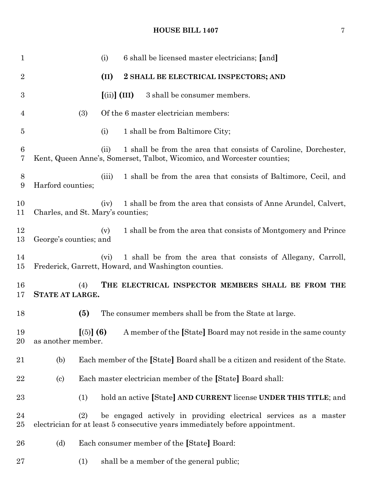| $\mathbf 1$      |                                   | (i)                                 | 6 shall be licensed master electricians; [and]                                                                                                   |
|------------------|-----------------------------------|-------------------------------------|--------------------------------------------------------------------------------------------------------------------------------------------------|
| $\overline{2}$   |                                   | (II)                                | 2 SHALL BE ELECTRICAL INSPECTORS; AND                                                                                                            |
| $\boldsymbol{3}$ |                                   | $\left[ \mathrm{(ii)}\right]$ (III) | 3 shall be consumer members.                                                                                                                     |
| 4                | (3)                               |                                     | Of the 6 master electrician members:                                                                                                             |
| $\overline{5}$   |                                   | (i)                                 | 1 shall be from Baltimore City;                                                                                                                  |
| 6<br>7           |                                   | (ii)                                | 1 shall be from the area that consists of Caroline, Dorchester,<br>Kent, Queen Anne's, Somerset, Talbot, Wicomico, and Worcester counties;       |
| 8<br>9           | Harford counties;                 | (iii)                               | 1 shall be from the area that consists of Baltimore, Cecil, and                                                                                  |
| 10<br>11         | Charles, and St. Mary's counties; | (iv)                                | 1 shall be from the area that consists of Anne Arundel, Calvert,                                                                                 |
| 12<br>13         | George's counties; and            | (v)                                 | 1 shall be from the area that consists of Montgomery and Prince                                                                                  |
| 14<br>15         |                                   | (vi)                                | 1 shall be from the area that consists of Allegany, Carroll,<br>Frederick, Garrett, Howard, and Washington counties.                             |
| 16<br>17         | (4)<br><b>STATE AT LARGE.</b>     |                                     | THE ELECTRICAL INSPECTOR MEMBERS SHALL BE FROM THE                                                                                               |
| 18               | (5)                               |                                     | The consumer members shall be from the State at large.                                                                                           |
| 19<br>20         | as another member.                |                                     | [(5)] (6) A member of the [State] Board may not reside in the same county                                                                        |
| 21               | (b)                               |                                     | Each member of the [State] Board shall be a citizen and resident of the State.                                                                   |
| 22               | $\left( \mathrm{c}\right)$        |                                     | Each master electrician member of the [State] Board shall:                                                                                       |
| 23               | (1)                               |                                     | hold an active [State] AND CURRENT license UNDER THIS TITLE; and                                                                                 |
| 24<br>$25\,$     | (2)                               |                                     | be engaged actively in providing electrical services as a master<br>electrician for at least 5 consecutive years immediately before appointment. |
| 26               | (d)                               |                                     | Each consumer member of the [State] Board:                                                                                                       |
| 27               | (1)                               |                                     | shall be a member of the general public;                                                                                                         |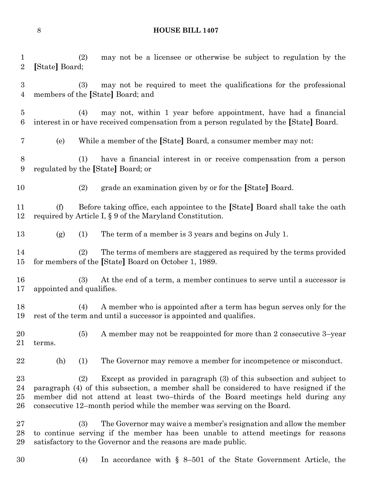(2) may not be a licensee or otherwise be subject to regulation by the **[**State**]** Board; (3) may not be required to meet the qualifications for the professional members of the **[**State**]** Board; and (4) may not, within 1 year before appointment, have had a financial interest in or have received compensation from a person regulated by the **[**State**]** Board. (e) While a member of the **[**State**]** Board, a consumer member may not: (1) have a financial interest in or receive compensation from a person regulated by the **[**State**]** Board; or (2) grade an examination given by or for the **[**State**]** Board. (f) Before taking office, each appointee to the **[**State**]** Board shall take the oath required by Article I, § 9 of the Maryland Constitution. (g) (1) The term of a member is 3 years and begins on July 1. (2) The terms of members are staggered as required by the terms provided for members of the **[**State**]** Board on October 1, 1989. (3) At the end of a term, a member continues to serve until a successor is appointed and qualifies. (4) A member who is appointed after a term has begun serves only for the rest of the term and until a successor is appointed and qualifies. (5) A member may not be reappointed for more than 2 consecutive 3–year terms. (h) (1) The Governor may remove a member for incompetence or misconduct. (2) Except as provided in paragraph (3) of this subsection and subject to paragraph (4) of this subsection, a member shall be considered to have resigned if the member did not attend at least two–thirds of the Board meetings held during any consecutive 12–month period while the member was serving on the Board. (3) The Governor may waive a member's resignation and allow the member to continue serving if the member has been unable to attend meetings for reasons satisfactory to the Governor and the reasons are made public. (4) In accordance with § 8–501 of the State Government Article, the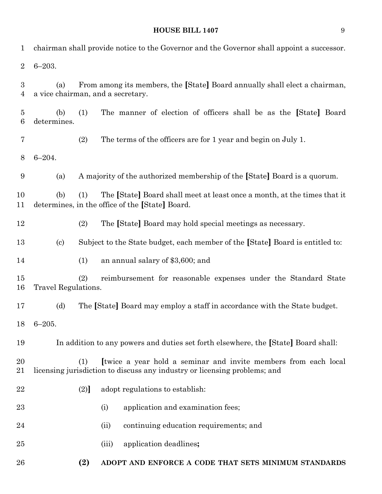| 1                   |                            |     | chairman shall provide notice to the Governor and the Governor shall appoint a successor.                                                    |
|---------------------|----------------------------|-----|----------------------------------------------------------------------------------------------------------------------------------------------|
| $\overline{2}$      | $6 - 203.$                 |     |                                                                                                                                              |
| 3<br>4              | (a)                        |     | From among its members, the [State] Board annually shall elect a chairman,<br>a vice chairman, and a secretary.                              |
| $\overline{5}$<br>6 | (b)<br>determines.         | (1) | The manner of election of officers shall be as the [State] Board                                                                             |
| $\overline{7}$      |                            | (2) | The terms of the officers are for 1 year and begin on July 1.                                                                                |
| 8                   | $6 - 204.$                 |     |                                                                                                                                              |
| 9                   | (a)                        |     | A majority of the authorized membership of the [State] Board is a quorum.                                                                    |
| 10<br>11            | (b)                        | (1) | The [State] Board shall meet at least once a month, at the times that it<br>determines, in the office of the [State] Board.                  |
| 12                  |                            | (2) | The [State] Board may hold special meetings as necessary.                                                                                    |
| 13                  | $\left( \mathrm{c}\right)$ |     | Subject to the State budget, each member of the [State] Board is entitled to:                                                                |
| 14                  |                            | (1) | an annual salary of \$3,600; and                                                                                                             |
| 15<br>16            | Travel Regulations.        | (2) | reimbursement for reasonable expenses under the Standard State                                                                               |
| 17                  | (d)                        |     | The [State] Board may employ a staff in accordance with the State budget.                                                                    |
| 18                  | $6 - 205.$                 |     |                                                                                                                                              |
| 19                  |                            |     | In addition to any powers and duties set forth elsewhere, the [State] Board shall:                                                           |
| 20<br>21            |                            | (1) | Itwice a year hold a seminar and invite members from each local<br>licensing jurisdiction to discuss any industry or licensing problems; and |
| 22                  |                            | (2) | adopt regulations to establish:                                                                                                              |
| 23                  |                            |     | application and examination fees;<br>(i)                                                                                                     |
| 24                  |                            |     | continuing education requirements; and<br>(ii)                                                                                               |
| 25                  |                            |     | application deadlines;<br>(iii)                                                                                                              |
| 26                  |                            | (2) | ADOPT AND ENFORCE A CODE THAT SETS MINIMUM STANDARDS                                                                                         |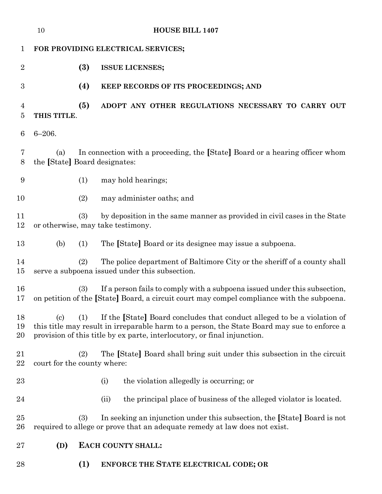|                  | 10                                   |     | <b>HOUSE BILL 1407</b>                                                                                                                                                                                                                              |
|------------------|--------------------------------------|-----|-----------------------------------------------------------------------------------------------------------------------------------------------------------------------------------------------------------------------------------------------------|
| 1                |                                      |     | FOR PROVIDING ELECTRICAL SERVICES;                                                                                                                                                                                                                  |
| $\overline{2}$   |                                      | (3) | <b>ISSUE LICENSES;</b>                                                                                                                                                                                                                              |
| $\boldsymbol{3}$ |                                      | (4) | KEEP RECORDS OF ITS PROCEEDINGS; AND                                                                                                                                                                                                                |
| 4<br>5           | THIS TITLE.                          | (5) | ADOPT ANY OTHER REGULATIONS NECESSARY TO CARRY OUT                                                                                                                                                                                                  |
| 6                | $6 - 206.$                           |     |                                                                                                                                                                                                                                                     |
| 7<br>8           | (a)<br>the [State] Board designates: |     | In connection with a proceeding, the [State] Board or a hearing officer whom                                                                                                                                                                        |
| $\boldsymbol{9}$ |                                      | (1) | may hold hearings;                                                                                                                                                                                                                                  |
| 10               |                                      | (2) | may administer oaths; and                                                                                                                                                                                                                           |
| 11<br>12         |                                      | (3) | by deposition in the same manner as provided in civil cases in the State<br>or otherwise, may take testimony.                                                                                                                                       |
| 13               | (b)                                  | (1) | The [State] Board or its designee may issue a subpoena.                                                                                                                                                                                             |
| 14<br>15         |                                      | (2) | The police department of Baltimore City or the sheriff of a county shall<br>serve a subpoena issued under this subsection.                                                                                                                          |
| 16<br>17         |                                      | (3) | If a person fails to comply with a subpoena issued under this subsection,<br>on petition of the [State] Board, a circuit court may compel compliance with the subpoena.                                                                             |
| 18<br>19<br>20   | $\left( \mathrm{c}\right)$           | (1) | If the [State] Board concludes that conduct alleged to be a violation of<br>this title may result in irreparable harm to a person, the State Board may sue to enforce a<br>provision of this title by ex parte, interlocutory, or final injunction. |
| 21<br>22         | court for the county where:          | (2) | The [State] Board shall bring suit under this subsection in the circuit                                                                                                                                                                             |
| 23               |                                      |     | the violation allegedly is occurring; or<br>(i)                                                                                                                                                                                                     |
| 24               |                                      |     | the principal place of business of the alleged violator is located.<br>(ii)                                                                                                                                                                         |
| 25<br>26         |                                      | (3) | In seeking an injunction under this subsection, the [State] Board is not<br>required to allege or prove that an adequate remedy at law does not exist.                                                                                              |
| 27               | (D)                                  |     | EACH COUNTY SHALL:                                                                                                                                                                                                                                  |
| 28               |                                      | (1) | <b>ENFORCE THE STATE ELECTRICAL CODE; OR</b>                                                                                                                                                                                                        |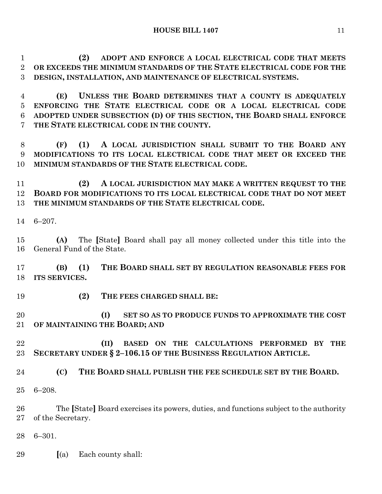**(2) ADOPT AND ENFORCE A LOCAL ELECTRICAL CODE THAT MEETS OR EXCEEDS THE MINIMUM STANDARDS OF THE STATE ELECTRICAL CODE FOR THE DESIGN, INSTALLATION, AND MAINTENANCE OF ELECTRICAL SYSTEMS.**

 **(E) UNLESS THE BOARD DETERMINES THAT A COUNTY IS ADEQUATELY ENFORCING THE STATE ELECTRICAL CODE OR A LOCAL ELECTRICAL CODE ADOPTED UNDER SUBSECTION (D) OF THIS SECTION, THE BOARD SHALL ENFORCE THE STATE ELECTRICAL CODE IN THE COUNTY.**

 **(F) (1) A LOCAL JURISDICTION SHALL SUBMIT TO THE BOARD ANY MODIFICATIONS TO ITS LOCAL ELECTRICAL CODE THAT MEET OR EXCEED THE MINIMUM STANDARDS OF THE STATE ELECTRICAL CODE.**

 **(2) A LOCAL JURISDICTION MAY MAKE A WRITTEN REQUEST TO THE BOARD FOR MODIFICATIONS TO ITS LOCAL ELECTRICAL CODE THAT DO NOT MEET THE MINIMUM STANDARDS OF THE STATE ELECTRICAL CODE.**

6–207.

 **(A)** The **[**State**]** Board shall pay all money collected under this title into the General Fund of the State.

 **(B) (1) THE BOARD SHALL SET BY REGULATION REASONABLE FEES FOR ITS SERVICES.**

**(2) THE FEES CHARGED SHALL BE:**

 **(I) SET SO AS TO PRODUCE FUNDS TO APPROXIMATE THE COST OF MAINTAINING THE BOARD; AND**

- **(II) BASED ON THE CALCULATIONS PERFORMED BY THE SECRETARY UNDER § 2–106.15 OF THE BUSINESS REGULATION ARTICLE.**
- **(C) THE BOARD SHALL PUBLISH THE FEE SCHEDULE SET BY THE BOARD.**
- 6–208.

 The **[**State**]** Board exercises its powers, duties, and functions subject to the authority of the Secretary.

6–301.

**[**(a) Each county shall: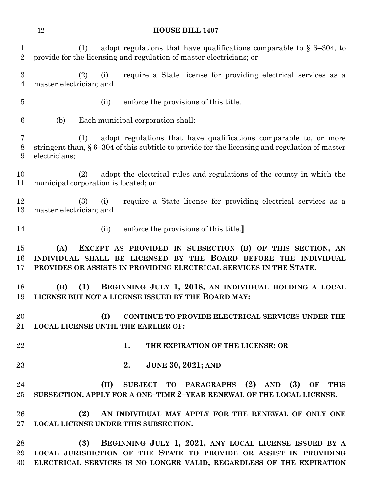**HOUSE BILL 1407** (1) adopt regulations that have qualifications comparable to § 6–304, to provide for the licensing and regulation of master electricians; or (2) (i) require a State license for providing electrical services as a master electrician; and (ii) enforce the provisions of this title. (b) Each municipal corporation shall: (1) adopt regulations that have qualifications comparable to, or more stringent than, § 6–304 of this subtitle to provide for the licensing and regulation of master electricians; (2) adopt the electrical rules and regulations of the county in which the municipal corporation is located; or (3) (i) require a State license for providing electrical services as a master electrician; and (ii) enforce the provisions of this title.**] (A) EXCEPT AS PROVIDED IN SUBSECTION (B) OF THIS SECTION, AN INDIVIDUAL SHALL BE LICENSED BY THE BOARD BEFORE THE INDIVIDUAL PROVIDES OR ASSISTS IN PROVIDING ELECTRICAL SERVICES IN THE STATE. (B) (1) BEGINNING JULY 1, 2018, AN INDIVIDUAL HOLDING A LOCAL LICENSE BUT NOT A LICENSE ISSUED BY THE BOARD MAY: (I) CONTINUE TO PROVIDE ELECTRICAL SERVICES UNDER THE LOCAL LICENSE UNTIL THE EARLIER OF: 1. THE EXPIRATION OF THE LICENSE; OR** 

**2. JUNE 30, 2021; AND**

 **(II) SUBJECT TO PARAGRAPHS (2) AND (3) OF THIS SUBSECTION, APPLY FOR A ONE–TIME 2–YEAR RENEWAL OF THE LOCAL LICENSE.**

 **(2) AN INDIVIDUAL MAY APPLY FOR THE RENEWAL OF ONLY ONE LOCAL LICENSE UNDER THIS SUBSECTION.**

 **(3) BEGINNING JULY 1, 2021, ANY LOCAL LICENSE ISSUED BY A LOCAL JURISDICTION OF THE STATE TO PROVIDE OR ASSIST IN PROVIDING ELECTRICAL SERVICES IS NO LONGER VALID, REGARDLESS OF THE EXPIRATION**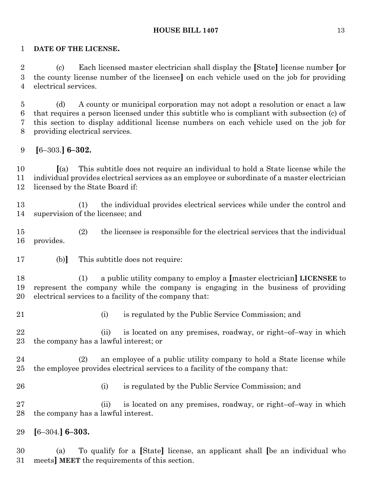#### **DATE OF THE LICENSE.**

 (c) Each licensed master electrician shall display the **[**State**]** license number **[**or the county license number of the licensee**]** on each vehicle used on the job for providing electrical services.

 (d) A county or municipal corporation may not adopt a resolution or enact a law that requires a person licensed under this subtitle who is compliant with subsection (c) of this section to display additional license numbers on each vehicle used on the job for providing electrical services.

**[**6–303.**] 6–302.**

 **[**(a) This subtitle does not require an individual to hold a State license while the individual provides electrical services as an employee or subordinate of a master electrician licensed by the State Board if:

 (1) the individual provides electrical services while under the control and supervision of the licensee; and

 (2) the licensee is responsible for the electrical services that the individual provides.

(b)**]** This subtitle does not require:

 (1) a public utility company to employ a **[**master electrician**] LICENSEE** to represent the company while the company is engaging in the business of providing electrical services to a facility of the company that:

- 
- (i) is regulated by the Public Service Commission; and

 (ii) is located on any premises, roadway, or right–of–way in which the company has a lawful interest; or

 (2) an employee of a public utility company to hold a State license while the employee provides electrical services to a facility of the company that:

(i) is regulated by the Public Service Commission; and

 (ii) is located on any premises, roadway, or right–of–way in which the company has a lawful interest.

**[**6–304.**] 6–303.**

 (a) To qualify for a **[**State**]** license, an applicant shall **[**be an individual who meets**] MEET** the requirements of this section.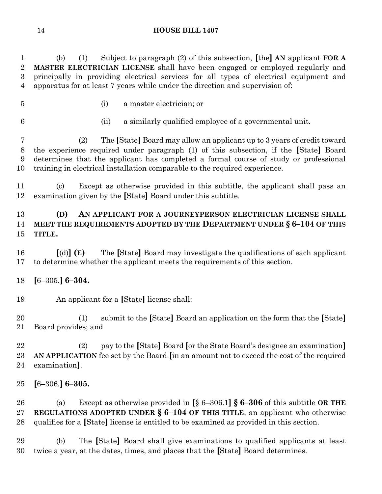(b) (1) Subject to paragraph (2) of this subsection, **[**the**] AN** applicant **FOR A MASTER ELECTRICIAN LICENSE** shall have been engaged or employed regularly and principally in providing electrical services for all types of electrical equipment and apparatus for at least 7 years while under the direction and supervision of:

(i) a master electrician; or

(ii) a similarly qualified employee of a governmental unit.

 (2) The **[**State**]** Board may allow an applicant up to 3 years of credit toward the experience required under paragraph (1) of this subsection, if the **[**State**]** Board determines that the applicant has completed a formal course of study or professional training in electrical installation comparable to the required experience.

 (c) Except as otherwise provided in this subtitle, the applicant shall pass an examination given by the **[**State**]** Board under this subtitle.

## **(D) AN APPLICANT FOR A JOURNEYPERSON ELECTRICIAN LICENSE SHALL MEET THE REQUIREMENTS ADOPTED BY THE DEPARTMENT UNDER § 6–104 OF THIS TITLE.**

 **[**(d)**] (E)** The **[**State**]** Board may investigate the qualifications of each applicant to determine whether the applicant meets the requirements of this section.

**[**6–305.**] 6–304.**

An applicant for a **[**State**]** license shall:

 (1) submit to the **[**State**]** Board an application on the form that the **[**State**]** Board provides; and

 (2) pay to the **[**State**]** Board **[**or the State Board's designee an examination**] AN APPLICATION** fee set by the Board **[**in an amount not to exceed the cost of the required examination**]**.

**[**6–306.**] 6–305.**

 (a) Except as otherwise provided in **[**§ 6–306.1**] § 6–306** of this subtitle **OR THE REGULATIONS ADOPTED UNDER § 6–104 OF THIS TITLE**, an applicant who otherwise qualifies for a **[**State**]** license is entitled to be examined as provided in this section.

 (b) The **[**State**]** Board shall give examinations to qualified applicants at least twice a year, at the dates, times, and places that the **[**State**]** Board determines.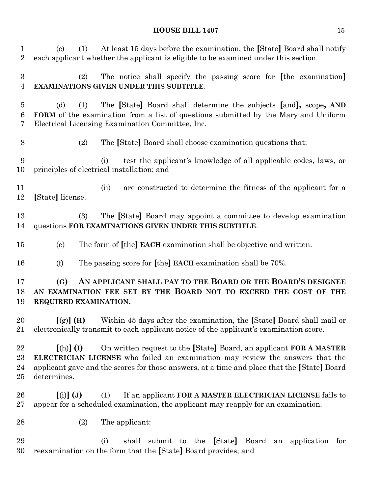| $\mathbf{1}$<br>$\overline{2}$ | At least 15 days before the examination, the [State] Board shall notify<br>$\left( \mathrm{c}\right)$<br>(1)<br>each applicant whether the applicant is eligible to be examined under this section.                                                                                     |
|--------------------------------|-----------------------------------------------------------------------------------------------------------------------------------------------------------------------------------------------------------------------------------------------------------------------------------------|
| $\boldsymbol{3}$<br>4          | The notice shall specify the passing score for [the examination]<br>(2)<br>EXAMINATIONS GIVEN UNDER THIS SUBTITLE.                                                                                                                                                                      |
| $\overline{5}$<br>6<br>7       | The [State] Board shall determine the subjects [and], scope, AND<br>(d)<br>(1)<br><b>FORM</b> of the examination from a list of questions submitted by the Maryland Uniform<br>Electrical Licensing Examination Committee, Inc.                                                         |
| 8                              | (2)<br>The [State] Board shall choose examination questions that:                                                                                                                                                                                                                       |
| 9<br>10                        | test the applicant's knowledge of all applicable codes, laws, or<br>(i)<br>principles of electrical installation; and                                                                                                                                                                   |
| 11<br>12                       | are constructed to determine the fitness of the applicant for a<br>(ii)<br>[State] license.                                                                                                                                                                                             |
| 13<br>14                       | The [State] Board may appoint a committee to develop examination<br>(3)<br>questions FOR EXAMINATIONS GIVEN UNDER THIS SUBTITLE.                                                                                                                                                        |
| 15                             | The form of [the] EACH examination shall be objective and written.<br>(e)                                                                                                                                                                                                               |
| 16                             | (f)<br>The passing score for [the] EACH examination shall be 70%.                                                                                                                                                                                                                       |
| 17<br>18<br>19                 | AN APPLICANT SHALL PAY TO THE BOARD OR THE BOARD'S DESIGNEE<br>(G)<br>AN EXAMINATION FEE SET BY THE BOARD NOT TO EXCEED THE COST OF THE<br>REQUIRED EXAMINATION.                                                                                                                        |
| 20<br>21                       | Within 45 days after the examination, the [State] Board shall mail or<br>$[(g)]$ (H)<br>electronically transmit to each applicant notice of the applicant's examination score.                                                                                                          |
| 22<br>23<br>24<br>$25\,$       | On written request to the [State] Board, an applicant FOR A MASTER<br>$[(h)]$ (I)<br><b>ELECTRICIAN LICENSE</b> who failed an examination may review the answers that the<br>applicant gave and the scores for those answers, at a time and place that the [State] Board<br>determines. |
| 26<br>$27\,$                   | $(i)$ $(j)$<br>If an applicant FOR A MASTER ELECTRICIAN LICENSE fails to<br>(1)<br>appear for a scheduled examination, the applicant may reapply for an examination.                                                                                                                    |
| 28                             | (2)<br>The applicant:                                                                                                                                                                                                                                                                   |
| 29<br>30                       | shall submit to the [State] Board an application for<br>(i)<br>reexamination on the form that the [State] Board provides; and                                                                                                                                                           |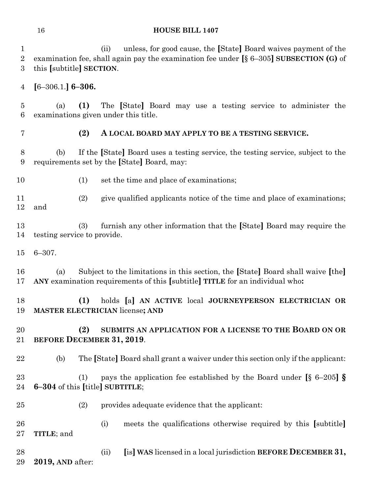(ii) unless, for good cause, the **[**State**]** Board waives payment of the examination fee, shall again pay the examination fee under **[**§ 6–305**] SUBSECTION (G)** of this **[**subtitle**] SECTION**.

**[**6–306.1.**] 6–306.**

 (a) **(1)** The **[**State**]** Board may use a testing service to administer the examinations given under this title.

#### **(2) A LOCAL BOARD MAY APPLY TO BE A TESTING SERVICE.**

 (b) If the **[**State**]** Board uses a testing service, the testing service, subject to the requirements set by the **[**State**]** Board, may:

10 (1) set the time and place of examinations;

 (2) give qualified applicants notice of the time and place of examinations; and

 (3) furnish any other information that the **[**State**]** Board may require the testing service to provide.

6–307.

 (a) Subject to the limitations in this section, the **[**State**]** Board shall waive **[**the**] ANY** examination requirements of this **[**subtitle**] TITLE** for an individual who**:**

 **(1)** holds **[**a**] AN ACTIVE** local **JOURNEYPERSON ELECTRICIAN OR MASTER ELECTRICIAN** license**; AND** 

## **(2) SUBMITS AN APPLICATION FOR A LICENSE TO THE BOARD ON OR BEFORE DECEMBER 31, 2019**.

(b) The **[**State**]** Board shall grant a waiver under this section only if the applicant:

 (1) pays the application fee established by the Board under **[**§ 6–205**] § 6–304** of this **[**title**] SUBTITLE**;

- (2) provides adequate evidence that the applicant:
- (i) meets the qualifications otherwise required by this **[**subtitle**] TITLE**; and
- (ii) **[**is**] WAS** licensed in a local jurisdiction **BEFORE DECEMBER 31,**
- **2019, AND** after: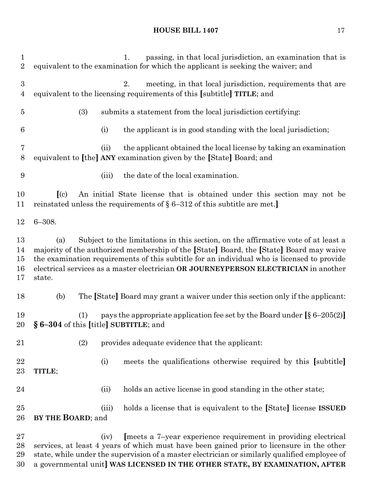| 1<br>$\overline{2}$        | passing, in that local jurisdiction, an examination that is<br>1.<br>equivalent to the examination for which the applicant is seeking the waiver; and                                                                                                                                                                                                                              |
|----------------------------|------------------------------------------------------------------------------------------------------------------------------------------------------------------------------------------------------------------------------------------------------------------------------------------------------------------------------------------------------------------------------------|
| 3<br>$\overline{4}$        | 2.<br>meeting, in that local jurisdiction, requirements that are<br>equivalent to the licensing requirements of this [subtitle] TITLE; and                                                                                                                                                                                                                                         |
| $\bf 5$                    | (3)<br>submits a statement from the local jurisdiction certifying:                                                                                                                                                                                                                                                                                                                 |
| $\,6$                      | the applicant is in good standing with the local jurisdiction;<br>(i)                                                                                                                                                                                                                                                                                                              |
| 7<br>8                     | the applicant obtained the local license by taking an examination<br>(ii)<br>equivalent to [the] ANY examination given by the [State] Board; and                                                                                                                                                                                                                                   |
| 9                          | the date of the local examination.<br>(iii)                                                                                                                                                                                                                                                                                                                                        |
| 10<br>11                   | An initial State license that is obtained under this section may not be<br>(c)<br>reinstated unless the requirements of $\S 6-312$ of this subtitle are met.                                                                                                                                                                                                                       |
| 12                         | $6 - 308.$                                                                                                                                                                                                                                                                                                                                                                         |
| 13<br>14<br>15<br>16<br>17 | Subject to the limitations in this section, on the affirmative vote of at least a<br>(a)<br>majority of the authorized membership of the [State] Board, the [State] Board may waive<br>the examination requirements of this subtitle for an individual who is licensed to provide<br>electrical services as a master electrician OR JOURNEYPERSON ELECTRICIAN in another<br>state. |
| 18                         | The [State] Board may grant a waiver under this section only if the applicant:<br>(b)                                                                                                                                                                                                                                                                                              |
| 19<br>20                   | pays the appropriate application fee set by the Board under $\lceil \S 6 - 205(2) \rceil$<br>(1)<br>§ 6-304 of this [title] SUBTITLE; and                                                                                                                                                                                                                                          |
| 21                         | (2)<br>provides adequate evidence that the applicant:                                                                                                                                                                                                                                                                                                                              |
| 22<br>$23\,$               | meets the qualifications otherwise required by this [subtitle]<br>(i)<br>TITLE;                                                                                                                                                                                                                                                                                                    |
| 24                         | holds an active license in good standing in the other state;<br>(ii)                                                                                                                                                                                                                                                                                                               |
| $25\,$<br>26               | holds a license that is equivalent to the [State] license ISSUED<br>(iii)<br>BY THE BOARD; and                                                                                                                                                                                                                                                                                     |
| $27\,$                     | [meets a 7-year experience requirement in providing electrical<br>(iv)                                                                                                                                                                                                                                                                                                             |

 services, at least 4 years of which must have been gained prior to licensure in the other state, while under the supervision of a master electrician or similarly qualified employee of a governmental unit**] WAS LICENSED IN THE OTHER STATE, BY EXAMINATION, AFTER**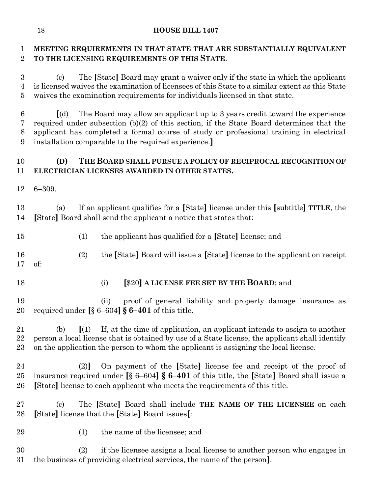## **MEETING REQUIREMENTS IN THAT STATE THAT ARE SUBSTANTIALLY EQUIVALENT TO THE LICENSING REQUIREMENTS OF THIS STATE**.

 (c) The **[**State**]** Board may grant a waiver only if the state in which the applicant is licensed waives the examination of licensees of this State to a similar extent as this State waives the examination requirements for individuals licensed in that state.

 **[**(d) The Board may allow an applicant up to 3 years credit toward the experience required under subsection (b)(2) of this section, if the State Board determines that the applicant has completed a formal course of study or professional training in electrical installation comparable to the required experience.**]**

## **(D) THE BOARD SHALL PURSUE A POLICY OF RECIPROCAL RECOGNITION OF ELECTRICIAN LICENSES AWARDED IN OTHER STATES.**

6–309.

 (a) If an applicant qualifies for a **[**State**]** license under this **[**subtitle**] TITLE**, the **[**State**]** Board shall send the applicant a notice that states that:

- (1) the applicant has qualified for a **[**State**]** license; and
- (2) the **[**State**]** Board will issue a **[**State**]** license to the applicant on receipt of:
- 
- (i) **[**\$20**] A LICENSE FEE SET BY THE BOARD**; and

 (ii) proof of general liability and property damage insurance as required under **[**§ 6–604**] § 6–401** of this title.

 (b) **[**(1) If, at the time of application, an applicant intends to assign to another person a local license that is obtained by use of a State license, the applicant shall identify on the application the person to whom the applicant is assigning the local license.

- (2)**]** On payment of the **[**State**]** license fee and receipt of the proof of insurance required under **[**§ 6–604**] § 6–401** of this title, the **[**State**]** Board shall issue a **[**State**]** license to each applicant who meets the requirements of this title.
- (c) The **[**State**]** Board shall include **THE NAME OF THE LICENSEE** on each **[**State**]** license that the **[**State**]** Board issues**[**:
- (1) the name of the licensee; and

 (2) if the licensee assigns a local license to another person who engages in the business of providing electrical services, the name of the person**]**.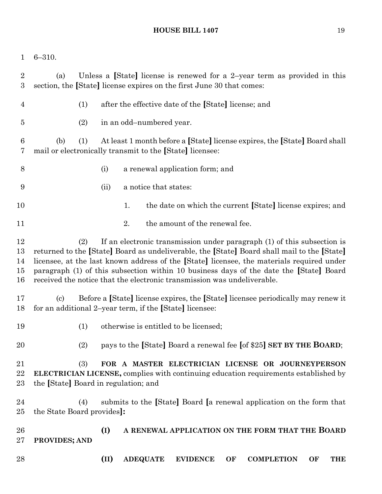6–310.

 (a) Unless a **[**State**]** license is renewed for a 2–year term as provided in this section, the **[**State**]** license expires on the first June 30 that comes: (1) after the effective date of the **[**State**]** license; and (2) in an odd–numbered year. (b) (1) At least 1 month before a **[**State**]**license expires, the **[**State**]** Board shall mail or electronically transmit to the **[**State**]** licensee: (i) a renewal application form; and (ii) a notice that states: 10 1. the date on which the current **[State]** license expires; and 11 2. the amount of the renewal fee. (2) If an electronic transmission under paragraph (1) of this subsection is returned to the **[**State**]** Board as undeliverable, the **[**State**]** Board shall mail to the **[**State**]** licensee, at the last known address of the **[**State**]** licensee, the materials required under paragraph (1) of this subsection within 10 business days of the date the **[**State**]** Board received the notice that the electronic transmission was undeliverable. (c) Before a **[**State**]** license expires, the **[**State**]** licensee periodically may renew it for an additional 2–year term, if the **[**State**]** licensee: (1) otherwise is entitled to be licensed; (2) pays to the **[**State**]** Board a renewal fee **[**of \$25**] SET BY THE BOARD**; (3) **FOR A MASTER ELECTRICIAN LICENSE OR JOURNEYPERSON ELECTRICIAN LICENSE,** complies with continuing education requirements established by the **[**State**]** Board in regulation; and (4) submits to the **[**State**]** Board **[**a renewal application on the form that the State Board provides**]: (I) A RENEWAL APPLICATION ON THE FORM THAT THE BOARD PROVIDES; AND (II) ADEQUATE EVIDENCE OF COMPLETION OF THE**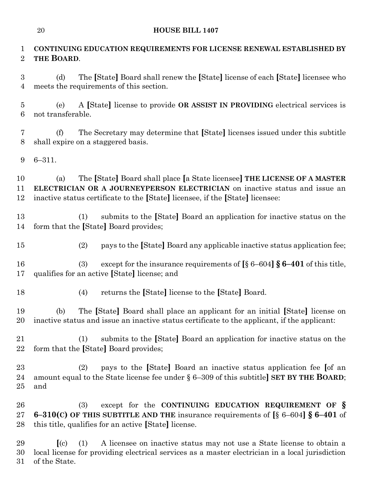## **CONTINUING EDUCATION REQUIREMENTS FOR LICENSE RENEWAL ESTABLISHED BY THE BOARD**.

 (d) The **[**State**]** Board shall renew the **[**State**]** license of each **[**State**]** licensee who meets the requirements of this section.

 (e) A **[**State**]** license to provide **OR ASSIST IN PROVIDING** electrical services is not transferable.

 (f) The Secretary may determine that **[**State**]** licenses issued under this subtitle shall expire on a staggered basis.

6–311.

 (a) The **[**State**]** Board shall place **[**a State licensee**] THE LICENSE OF A MASTER ELECTRICIAN OR A JOURNEYPERSON ELECTRICIAN** on inactive status and issue an inactive status certificate to the **[**State**]** licensee, if the **[**State**]** licensee:

 (1) submits to the **[**State**]** Board an application for inactive status on the form that the **[**State**]** Board provides;

(2) pays to the **[**State**]** Board any applicable inactive status application fee;

 (3) except for the insurance requirements of **[**§ 6–604**] § 6–401** of this title, qualifies for an active **[**State**]** license; and

(4) returns the **[**State**]** license to the **[**State**]** Board.

 (b) The **[**State**]** Board shall place an applicant for an initial **[**State**]** license on inactive status and issue an inactive status certificate to the applicant, if the applicant:

 (1) submits to the **[**State**]** Board an application for inactive status on the form that the **[**State**]** Board provides;

 (2) pays to the **[**State**]** Board an inactive status application fee **[**of an amount equal to the State license fee under § 6–309 of this subtitle**] SET BY THE BOARD**; and

 (3) except for the **CONTINUING EDUCATION REQUIREMENT OF § 6–310(C) OF THIS SUBTITLE AND THE** insurance requirements of **[**§ 6–604**] § 6–401** of this title, qualifies for an active **[**State**]** license.

 **[**(c) (1) A licensee on inactive status may not use a State license to obtain a local license for providing electrical services as a master electrician in a local jurisdiction of the State.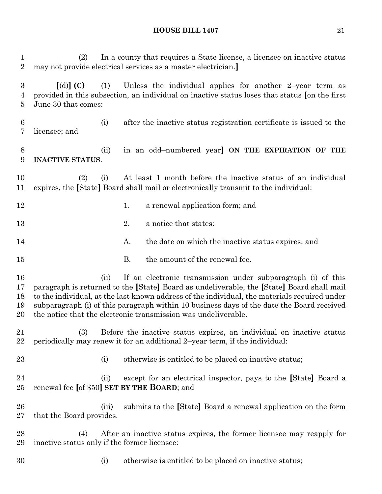(2) In a county that requires a State license, a licensee on inactive status may not provide electrical services as a master electrician.**] [**(d)**] (C)** (1) Unless the individual applies for another 2–year term as provided in this subsection, an individual on inactive status loses that status **[**on the first June 30 that comes: (i) after the inactive status registration certificate is issued to the licensee; and (ii) in an odd–numbered year**] ON THE EXPIRATION OF THE INACTIVE STATUS**. (2) (i) At least 1 month before the inactive status of an individual expires, the **[**State**]** Board shall mail or electronically transmit to the individual: 12 1. a renewal application form; and 13 2. a notice that states: 14 A. the date on which the inactive status expires; and 15 B. the amount of the renewal fee. (ii) If an electronic transmission under subparagraph (i) of this paragraph is returned to the **[**State**]** Board as undeliverable, the **[**State**]** Board shall mail to the individual, at the last known address of the individual, the materials required under subparagraph (i) of this paragraph within 10 business days of the date the Board received the notice that the electronic transmission was undeliverable. (3) Before the inactive status expires, an individual on inactive status periodically may renew it for an additional 2–year term, if the individual: 23 (i) otherwise is entitled to be placed on inactive status; (ii) except for an electrical inspector, pays to the **[**State**]** Board a renewal fee **[**of \$50**] SET BY THE BOARD**; and (iii) submits to the **[**State**]** Board a renewal application on the form that the Board provides. (4) After an inactive status expires, the former licensee may reapply for inactive status only if the former licensee: 30 (i) otherwise is entitled to be placed on inactive status;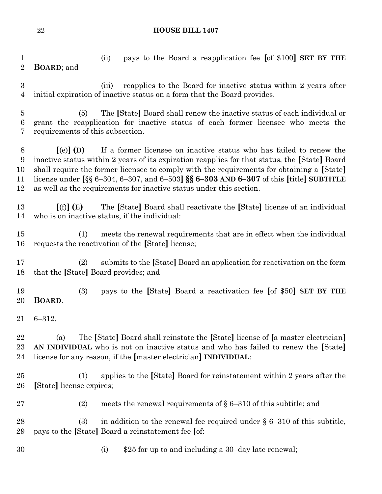(ii) pays to the Board a reapplication fee **[**of \$100**] SET BY THE BOARD**; and

 (iii) reapplies to the Board for inactive status within 2 years after initial expiration of inactive status on a form that the Board provides.

 (5) The **[**State**]** Board shall renew the inactive status of each individual or grant the reapplication for inactive status of each former licensee who meets the requirements of this subsection.

 **[**(e)**] (D)** If a former licensee on inactive status who has failed to renew the inactive status within 2 years of its expiration reapplies for that status, the **[**State**]** Board shall require the former licensee to comply with the requirements for obtaining a **[**State**]** license under **[**§§ 6–304, 6–307, and 6–503**] §§ 6–303 AND 6–307** of this **[**title**] SUBTITLE** as well as the requirements for inactive status under this section.

 **[**(f)**] (E)** The **[**State**]** Board shall reactivate the **[**State**]** license of an individual who is on inactive status, if the individual:

 (1) meets the renewal requirements that are in effect when the individual requests the reactivation of the **[**State**]** license;

 (2) submits to the **[**State**]** Board an application for reactivation on the form that the **[**State**]** Board provides; and

 (3) pays to the **[**State**]** Board a reactivation fee **[**of \$50**] SET BY THE BOARD**.

6–312.

 (a) The **[**State**]** Board shall reinstate the **[**State**]** license of **[**a master electrician**] AN INDIVIDUAL** who is not on inactive status and who has failed to renew the **[**State**]** license for any reason, if the **[**master electrician**] INDIVIDUAL**:

 (1) applies to the **[**State**]** Board for reinstatement within 2 years after the **[**State**]** license expires;

27 (2) meets the renewal requirements of  $\S 6-310$  of this subtitle; and

28 (3) in addition to the renewal fee required under  $\S 6-310$  of this subtitle, pays to the **[**State**]** Board a reinstatement fee **[**of:

- 
- (i) \$25 for up to and including a 30–day late renewal;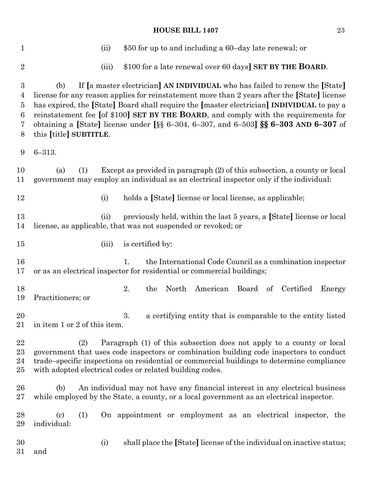| $\mathbf{1}$                            | \$50 for up to and including a 60-day late renewal; or<br>(ii)                                                                                                                                                                                                                                                                                                                                                                                                                                  |
|-----------------------------------------|-------------------------------------------------------------------------------------------------------------------------------------------------------------------------------------------------------------------------------------------------------------------------------------------------------------------------------------------------------------------------------------------------------------------------------------------------------------------------------------------------|
| $\sqrt{2}$                              | \$100 for a late renewal over 60 days] SET BY THE BOARD.<br>(iii)                                                                                                                                                                                                                                                                                                                                                                                                                               |
| 3<br>4<br>$\overline{5}$<br>6<br>7<br>8 | If [a master electrician] AN INDIVIDUAL who has failed to renew the [State]<br>(b)<br>license for any reason applies for reinstatement more than 2 years after the [State] license<br>has expired, the [State] Board shall require the [master electrician] INDIVIDUAL to pay a<br>reinstatement fee [of \$100] SET BY THE BOARD, and comply with the requirements for<br>obtaining a [State] license under [§§ 6-304, 6-307, and 6-503] <b>§§ 6-303 AND 6-307</b> of<br>this [title] SUBTITLE. |
| 9                                       | $6 - 313.$                                                                                                                                                                                                                                                                                                                                                                                                                                                                                      |
| 10<br>11                                | (1)<br>Except as provided in paragraph (2) of this subsection, a county or local<br>(a)<br>government may employ an individual as an electrical inspector only if the individual:                                                                                                                                                                                                                                                                                                               |
| 12                                      | holds a [State] license or local license, as applicable;<br>(i)                                                                                                                                                                                                                                                                                                                                                                                                                                 |
| 13<br>14                                | previously held, within the last 5 years, a [State] license or local<br>(ii)<br>license, as applicable, that was not suspended or revoked; or                                                                                                                                                                                                                                                                                                                                                   |
| 15                                      | is certified by:<br>(iii)                                                                                                                                                                                                                                                                                                                                                                                                                                                                       |
| 16<br>17                                | 1.<br>the International Code Council as a combination inspector<br>or as an electrical inspector for residential or commercial buildings;                                                                                                                                                                                                                                                                                                                                                       |
| 18<br>19                                | 2.<br>North<br>American Board of Certified<br>the<br>Energy<br>Practitioners; or                                                                                                                                                                                                                                                                                                                                                                                                                |
| 20<br>21                                | 3.<br>a certifying entity that is comparable to the entity listed<br>in item 1 or 2 of this item.                                                                                                                                                                                                                                                                                                                                                                                               |
| 22<br>23<br>24<br>25                    | Paragraph (1) of this subsection does not apply to a county or local<br>(2)<br>government that uses code inspectors or combination building code inspectors to conduct<br>trade-specific inspections on residential or commercial buildings to determine compliance<br>with adopted electrical codes or related building codes.                                                                                                                                                                 |
| 26<br>$27\,$                            | An individual may not have any financial interest in any electrical business<br>(b)<br>while employed by the State, a county, or a local government as an electrical inspector.                                                                                                                                                                                                                                                                                                                 |
| 28<br>29                                | $\left( \mathrm{c}\right)$<br>(1)<br>On appointment or employment as an electrical inspector, the<br>individual:                                                                                                                                                                                                                                                                                                                                                                                |
| 30<br>31                                | shall place the [State] license of the individual on inactive status;<br>(i)<br>and                                                                                                                                                                                                                                                                                                                                                                                                             |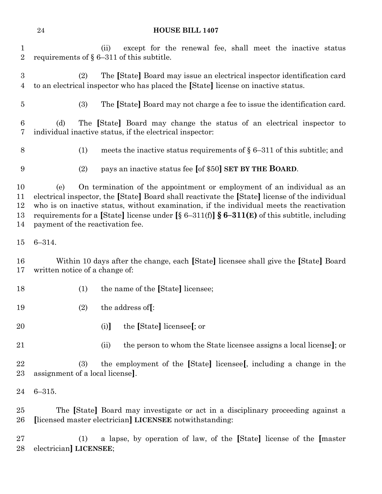(ii) except for the renewal fee, shall meet the inactive status 2 requirements of  $\S 6-311$  of this subtitle. (2) The **[**State**]** Board may issue an electrical inspector identification card to an electrical inspector who has placed the **[**State**]** license on inactive status. (3) The **[**State**]** Board may not charge a fee to issue the identification card. (d) The **[**State**]** Board may change the status of an electrical inspector to individual inactive status, if the electrical inspector: 8 (1) meets the inactive status requirements of  $\S 6-311$  of this subtitle; and (2) pays an inactive status fee **[**of \$50**] SET BY THE BOARD**. (e) On termination of the appointment or employment of an individual as an electrical inspector, the **[**State**]** Board shall reactivate the **[**State**]** license of the individual who is on inactive status, without examination, if the individual meets the reactivation requirements for a **[**State**]** license under **[**§ 6–311(f)**] § 6–311(E)** of this subtitle, including payment of the reactivation fee. 6–314. Within 10 days after the change, each **[**State**]** licensee shall give the **[**State**]** Board written notice of a change of: (1) the name of the **[**State**]** licensee; (2) the address of**[**: (i)**]** the **[**State**]** licensee**[**; or (ii) the person to whom the State licensee assigns a local license**]**; or (3) the employment of the **[**State**]** licensee**[**, including a change in the assignment of a local license**]**.

6–315.

 The **[**State**]** Board may investigate or act in a disciplinary proceeding against a **[**licensed master electrician**] LICENSEE** notwithstanding:

 (1) a lapse, by operation of law, of the **[**State**]** license of the **[**master electrician**] LICENSEE**;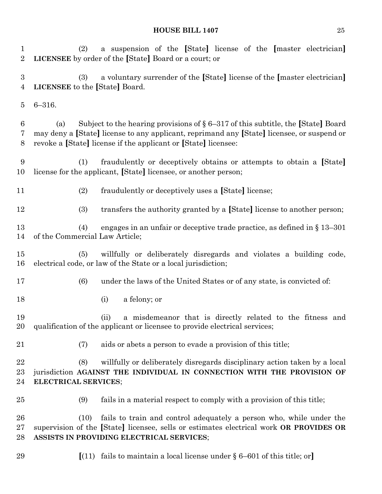(2) a suspension of the **[**State**]** license of the **[**master electrician**] LICENSEE** by order of the **[**State**]** Board or a court; or (3) a voluntary surrender of the **[**State**]** license of the **[**master electrician**] LICENSEE** to the **[**State**]** Board. 6–316. (a) Subject to the hearing provisions of § 6–317 of this subtitle, the **[**State**]** Board may deny a **[**State**]** license to any applicant, reprimand any **[**State**]** licensee, or suspend or revoke a **[**State**]** license if the applicant or **[**State**]** licensee: (1) fraudulently or deceptively obtains or attempts to obtain a **[**State**]** license for the applicant, **[**State**]** licensee, or another person; (2) fraudulently or deceptively uses a **[**State**]** license; (3) transfers the authority granted by a **[**State**]** license to another person; (4) engages in an unfair or deceptive trade practice, as defined in § 13–301 of the Commercial Law Article; (5) willfully or deliberately disregards and violates a building code, electrical code, or law of the State or a local jurisdiction; (6) under the laws of the United States or of any state, is convicted of: (i) a felony; or (ii) a misdemeanor that is directly related to the fitness and qualification of the applicant or licensee to provide electrical services; (7) aids or abets a person to evade a provision of this title; (8) willfully or deliberately disregards disciplinary action taken by a local jurisdiction **AGAINST THE INDIVIDUAL IN CONNECTION WITH THE PROVISION OF ELECTRICAL SERVICES**; (9) fails in a material respect to comply with a provision of this title; (10) fails to train and control adequately a person who, while under the supervision of the **[**State**]** licensee, sells or estimates electrical work **OR PROVIDES OR ASSISTS IN PROVIDING ELECTRICAL SERVICES**; **[**(11) fails to maintain a local license under § 6–601 of this title; or**]**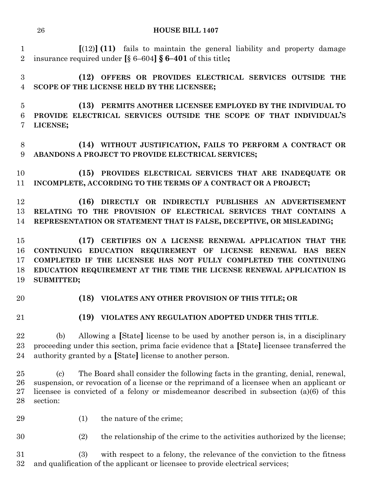**[**(12)**] (11)** fails to maintain the general liability and property damage insurance required under **[**§ 6–604**] § 6–401** of this title**;**

 **(12) OFFERS OR PROVIDES ELECTRICAL SERVICES OUTSIDE THE SCOPE OF THE LICENSE HELD BY THE LICENSEE;**

 **(13) PERMITS ANOTHER LICENSEE EMPLOYED BY THE INDIVIDUAL TO PROVIDE ELECTRICAL SERVICES OUTSIDE THE SCOPE OF THAT INDIVIDUAL'S LICENSE;**

 **(14) WITHOUT JUSTIFICATION, FAILS TO PERFORM A CONTRACT OR ABANDONS A PROJECT TO PROVIDE ELECTRICAL SERVICES;**

 **(15) PROVIDES ELECTRICAL SERVICES THAT ARE INADEQUATE OR INCOMPLETE, ACCORDING TO THE TERMS OF A CONTRACT OR A PROJECT;**

 **(16) DIRECTLY OR INDIRECTLY PUBLISHES AN ADVERTISEMENT RELATING TO THE PROVISION OF ELECTRICAL SERVICES THAT CONTAINS A REPRESENTATION OR STATEMENT THAT IS FALSE, DECEPTIVE, OR MISLEADING;**

 **(17) CERTIFIES ON A LICENSE RENEWAL APPLICATION THAT THE CONTINUING EDUCATION REQUIREMENT OF LICENSE RENEWAL HAS BEEN COMPLETED IF THE LICENSEE HAS NOT FULLY COMPLETED THE CONTINUING EDUCATION REQUIREMENT AT THE TIME THE LICENSE RENEWAL APPLICATION IS SUBMITTED;**

## **(18) VIOLATES ANY OTHER PROVISION OF THIS TITLE; OR**

- 
- **(19) VIOLATES ANY REGULATION ADOPTED UNDER THIS TITLE**.

 (b) Allowing a **[**State**]** license to be used by another person is, in a disciplinary proceeding under this section, prima facie evidence that a **[**State**]** licensee transferred the authority granted by a **[**State**]** license to another person.

 (c) The Board shall consider the following facts in the granting, denial, renewal, suspension, or revocation of a license or the reprimand of a licensee when an applicant or licensee is convicted of a felony or misdemeanor described in subsection (a)(6) of this section:

29 (1) the nature of the crime;

(2) the relationship of the crime to the activities authorized by the license;

 (3) with respect to a felony, the relevance of the conviction to the fitness and qualification of the applicant or licensee to provide electrical services;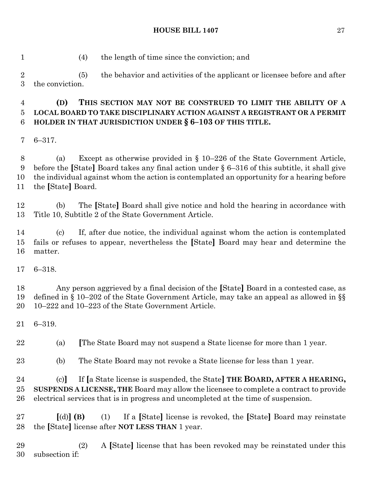(4) the length of time since the conviction; and

 (5) the behavior and activities of the applicant or licensee before and after the conviction.

## **(D) THIS SECTION MAY NOT BE CONSTRUED TO LIMIT THE ABILITY OF A LOCAL BOARD TO TAKE DISCIPLINARY ACTION AGAINST A REGISTRANT OR A PERMIT HOLDER IN THAT JURISDICTION UNDER § 6–103 OF THIS TITLE.**

6–317.

 (a) Except as otherwise provided in § 10–226 of the State Government Article, before the **[**State**]** Board takes any final action under § 6–316 of this subtitle, it shall give the individual against whom the action is contemplated an opportunity for a hearing before the **[**State**]** Board.

 (b) The **[**State**]** Board shall give notice and hold the hearing in accordance with Title 10, Subtitle 2 of the State Government Article.

 (c) If, after due notice, the individual against whom the action is contemplated fails or refuses to appear, nevertheless the **[**State**]** Board may hear and determine the matter.

6–318.

 Any person aggrieved by a final decision of the **[**State**]** Board in a contested case, as defined in § 10–202 of the State Government Article, may take an appeal as allowed in §§ 10–222 and 10–223 of the State Government Article.

6–319.

(a) **[**The State Board may not suspend a State license for more than 1 year.

(b) The State Board may not revoke a State license for less than 1 year.

 (c)**]** If **[**a State license is suspended, the State**] THE BOARD, AFTER A HEARING, SUSPENDS A LICENSE, THE** Board may allow the licensee to complete a contract to provide electrical services that is in progress and uncompleted at the time of suspension.

 **[**(d)**] (B)** (1) If a **[**State**]** license is revoked, the **[**State**]** Board may reinstate the **[**State**]** license after **NOT LESS THAN** 1 year.

 (2) A **[**State**]** license that has been revoked may be reinstated under this subsection if: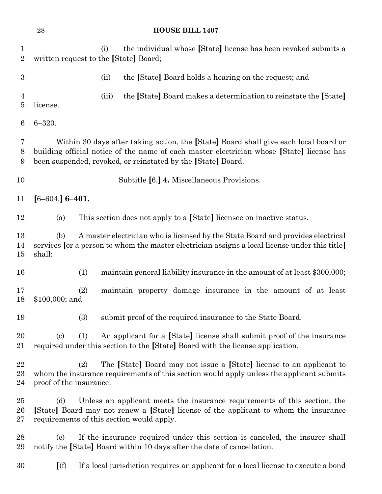| $\mathbf 1$<br>$\overline{2}$ | written request to the [State] Board; | the individual whose [State] license has been revoked submits a<br>(i)                                                                                                                                                                            |
|-------------------------------|---------------------------------------|---------------------------------------------------------------------------------------------------------------------------------------------------------------------------------------------------------------------------------------------------|
| $\boldsymbol{3}$              |                                       | the [State] Board holds a hearing on the request; and<br>(ii)                                                                                                                                                                                     |
| $\overline{4}$<br>5           | license.                              | the [State] Board makes a determination to reinstate the [State]<br>(iii)                                                                                                                                                                         |
| 6                             | $6 - 320.$                            |                                                                                                                                                                                                                                                   |
| 7<br>8<br>9                   |                                       | Within 30 days after taking action, the [State] Board shall give each local board or<br>building official notice of the name of each master electrician whose [State] license has<br>been suspended, revoked, or reinstated by the [State] Board. |
| 10                            |                                       | Subtitle [6.] 4. Miscellaneous Provisions.                                                                                                                                                                                                        |
| 11                            | $[6 - 604.] 6 - 401.$                 |                                                                                                                                                                                                                                                   |
| 12                            | (a)                                   | This section does not apply to a [State] licensee on inactive status.                                                                                                                                                                             |
| 13<br>14<br>15                | (b)<br>shall:                         | A master electrician who is licensed by the State Board and provides electrical<br>services [or a person to whom the master electrician assigns a local license under this title]                                                                 |
| 16                            | (1)                                   | maintain general liability insurance in the amount of at least \$300,000;                                                                                                                                                                         |
| 17<br>18                      | (2)<br>\$100,000; and                 | maintain property damage insurance in the amount of at least                                                                                                                                                                                      |
| 19                            | (3)                                   | submit proof of the required insurance to the State Board.                                                                                                                                                                                        |
| 20<br>21                      | (c)<br>(1)                            | An applicant for a [State] license shall submit proof of the insurance<br>required under this section to the [State] Board with the license application.                                                                                          |
| 22<br>$^{23}$<br>24           | (2)<br>proof of the insurance.        | The [State] Board may not issue a [State] license to an applicant to<br>whom the insurance requirements of this section would apply unless the applicant submits                                                                                  |
| $25\,$<br>$26\,$<br>$27\,$    | (d)                                   | Unless an applicant meets the insurance requirements of this section, the<br>[State] Board may not renew a [State] license of the applicant to whom the insurance<br>requirements of this section would apply.                                    |
| 28<br>29                      | (e)                                   | If the insurance required under this section is canceled, the insurer shall<br>notify the [State] Board within 10 days after the date of cancellation.                                                                                            |
| 30                            | (f)                                   | If a local jurisdiction requires an applicant for a local license to execute a bond                                                                                                                                                               |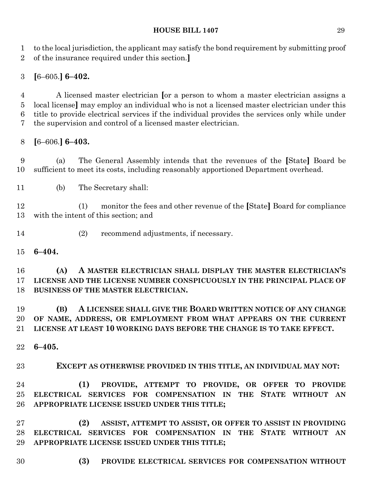to the local jurisdiction, the applicant may satisfy the bond requirement by submitting proof of the insurance required under this section.**]**

## **[**6–605.**] 6–402.**

 A licensed master electrician **[**or a person to whom a master electrician assigns a local license**]** may employ an individual who is not a licensed master electrician under this title to provide electrical services if the individual provides the services only while under the supervision and control of a licensed master electrician.

**[**6–606.**] 6–403.**

 (a) The General Assembly intends that the revenues of the **[**State**]** Board be sufficient to meet its costs, including reasonably apportioned Department overhead.

(b) The Secretary shall:

 (1) monitor the fees and other revenue of the **[**State**]** Board for compliance with the intent of this section; and

- (2) recommend adjustments, if necessary.
- **6–404.**

 **(A) A MASTER ELECTRICIAN SHALL DISPLAY THE MASTER ELECTRICIAN'S LICENSE AND THE LICENSE NUMBER CONSPICUOUSLY IN THE PRINCIPAL PLACE OF BUSINESS OF THE MASTER ELECTRICIAN.**

 **(B) A LICENSEE SHALL GIVE THE BOARD WRITTEN NOTICE OF ANY CHANGE OF NAME, ADDRESS, OR EMPLOYMENT FROM WHAT APPEARS ON THE CURRENT LICENSE AT LEAST 10 WORKING DAYS BEFORE THE CHANGE IS TO TAKE EFFECT.**

**6–405.**

**EXCEPT AS OTHERWISE PROVIDED IN THIS TITLE, AN INDIVIDUAL MAY NOT:**

 **(1) PROVIDE, ATTEMPT TO PROVIDE, OR OFFER TO PROVIDE ELECTRICAL SERVICES FOR COMPENSATION IN THE STATE WITHOUT AN APPROPRIATE LICENSE ISSUED UNDER THIS TITLE;**

 **(2) ASSIST, ATTEMPT TO ASSIST, OR OFFER TO ASSIST IN PROVIDING ELECTRICAL SERVICES FOR COMPENSATION IN THE STATE WITHOUT AN APPROPRIATE LICENSE ISSUED UNDER THIS TITLE;**

**(3) PROVIDE ELECTRICAL SERVICES FOR COMPENSATION WITHOUT**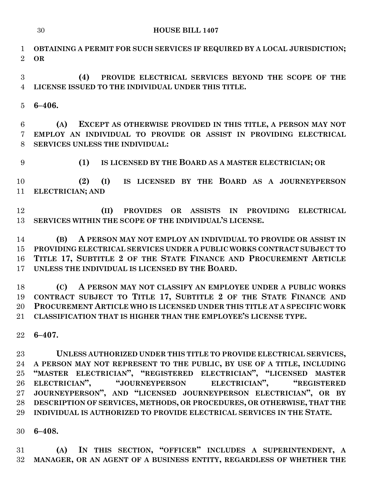**OBTAINING A PERMIT FOR SUCH SERVICES IF REQUIRED BY A LOCAL JURISDICTION; OR**

 **(4) PROVIDE ELECTRICAL SERVICES BEYOND THE SCOPE OF THE LICENSE ISSUED TO THE INDIVIDUAL UNDER THIS TITLE.**

**6–406.**

 **(A) EXCEPT AS OTHERWISE PROVIDED IN THIS TITLE, A PERSON MAY NOT EMPLOY AN INDIVIDUAL TO PROVIDE OR ASSIST IN PROVIDING ELECTRICAL SERVICES UNLESS THE INDIVIDUAL:**

**(1) IS LICENSED BY THE BOARD AS A MASTER ELECTRICIAN; OR**

 **(2) (I) IS LICENSED BY THE BOARD AS A JOURNEYPERSON ELECTRICIAN; AND**

 **(II) PROVIDES OR ASSISTS IN PROVIDING ELECTRICAL SERVICES WITHIN THE SCOPE OF THE INDIVIDUAL'S LICENSE.**

 **(B) A PERSON MAY NOT EMPLOY AN INDIVIDUAL TO PROVIDE OR ASSIST IN PROVIDING ELECTRICAL SERVICES UNDER A PUBLIC WORKS CONTRACT SUBJECT TO TITLE 17, SUBTITLE 2 OF THE STATE FINANCE AND PROCUREMENT ARTICLE UNLESS THE INDIVIDUAL IS LICENSED BY THE BOARD.**

 **(C) A PERSON MAY NOT CLASSIFY AN EMPLOYEE UNDER A PUBLIC WORKS CONTRACT SUBJECT TO TITLE 17, SUBTITLE 2 OF THE STATE FINANCE AND PROCUREMENT ARTICLE WHO IS LICENSED UNDER THIS TITLE AT A SPECIFIC WORK CLASSIFICATION THAT IS HIGHER THAN THE EMPLOYEE'S LICENSE TYPE.**

**6–407.**

 **UNLESS AUTHORIZED UNDER THIS TITLE TO PROVIDE ELECTRICAL SERVICES, A PERSON MAY NOT REPRESENT TO THE PUBLIC, BY USE OF A TITLE, INCLUDING "MASTER ELECTRICIAN", "REGISTERED ELECTRICIAN", "LICENSED MASTER ELECTRICIAN", "JOURNEYPERSON ELECTRICIAN", "REGISTERED JOURNEYPERSON", AND "LICENSED JOURNEYPERSON ELECTRICIAN", OR BY DESCRIPTION OF SERVICES, METHODS, OR PROCEDURES, OR OTHERWISE, THAT THE INDIVIDUAL IS AUTHORIZED TO PROVIDE ELECTRICAL SERVICES IN THE STATE.**

**6–408.**

 **(A) IN THIS SECTION, "OFFICER" INCLUDES A SUPERINTENDENT, A MANAGER, OR AN AGENT OF A BUSINESS ENTITY, REGARDLESS OF WHETHER THE**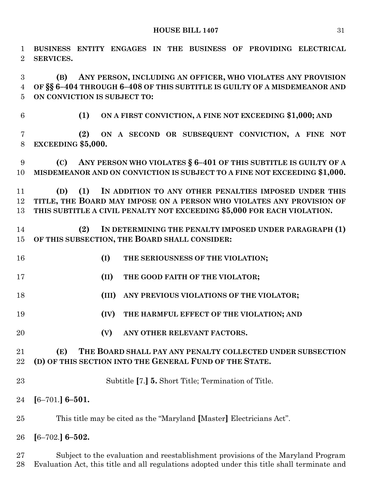| 1<br>$\overline{2}$ | BUSINESS ENTITY ENGAGES IN THE BUSINESS OF PROVIDING ELECTRICAL<br>SERVICES.                |
|---------------------|---------------------------------------------------------------------------------------------|
| 3                   | ANY PERSON, INCLUDING AN OFFICER, WHO VIOLATES ANY PROVISION<br>(B)                         |
| $\overline{4}$      | OF §§ 6-404 THROUGH 6-408 OF THIS SUBTITLE IS GUILTY OF A MISDEMEANOR AND                   |
| $\overline{5}$      | ON CONVICTION IS SUBJECT TO:                                                                |
| $\,6\,$             | ON A FIRST CONVICTION, A FINE NOT EXCEEDING \$1,000; AND<br>(1)                             |
| $\overline{7}$      | ON A SECOND OR SUBSEQUENT CONVICTION, A FINE NOT<br>(2)                                     |
| 8                   | EXCEEDING \$5,000.                                                                          |
| 9                   | (C) ANY PERSON WHO VIOLATES $\S 6-401$ OF THIS SUBTITLE IS GUILTY OF A                      |
| 10                  | MISDEMEANOR AND ON CONVICTION IS SUBJECT TO A FINE NOT EXCEEDING \$1,000.                   |
| 11                  | (1)<br>IN ADDITION TO ANY OTHER PENALTIES IMPOSED UNDER THIS<br>(D)                         |
| 12                  | TITLE, THE BOARD MAY IMPOSE ON A PERSON WHO VIOLATES ANY PROVISION OF                       |
| 13                  | THIS SUBTITLE A CIVIL PENALTY NOT EXCEEDING \$5,000 FOR EACH VIOLATION.                     |
| 14                  | (2)<br>IN DETERMINING THE PENALTY IMPOSED UNDER PARAGRAPH (1)                               |
| 15                  | OF THIS SUBSECTION, THE BOARD SHALL CONSIDER:                                               |
|                     |                                                                                             |
| 16                  | (I)<br>THE SERIOUSNESS OF THE VIOLATION;                                                    |
| 17                  | (II)<br>THE GOOD FAITH OF THE VIOLATOR;                                                     |
| 18                  | (III)<br>ANY PREVIOUS VIOLATIONS OF THE VIOLATOR;                                           |
| 19                  | (IV)<br>THE HARMFUL EFFECT OF THE VIOLATION; AND                                            |
| 20                  | (V)<br>ANY OTHER RELEVANT FACTORS.                                                          |
| 21                  | THE BOARD SHALL PAY ANY PENALTY COLLECTED UNDER SUBSECTION<br>(E)                           |
| 22                  | (D) OF THIS SECTION INTO THE GENERAL FUND OF THE STATE.                                     |
|                     |                                                                                             |
| 23                  | Subtitle [7.] <b>5.</b> Short Title; Termination of Title.                                  |
| 24                  | $[6 - 701.] 6 - 501.$                                                                       |
| 25                  | This title may be cited as the "Maryland [Master] Electricians Act".                        |
| 26                  | $[6 - 702]$ 6-502.                                                                          |
| 27                  | Subject to the evaluation and reestablishment provisions of the Maryland Program            |
| 28                  | Evaluation Act, this title and all regulations adopted under this title shall terminate and |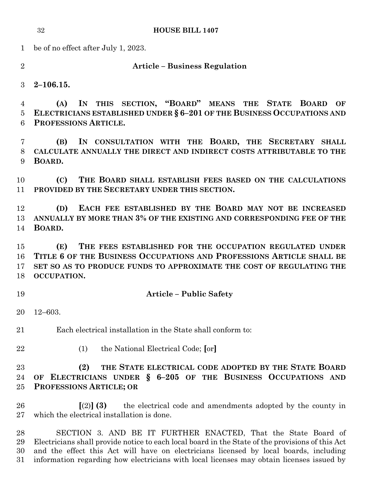be of no effect after July 1, 2023.

#### **Article – Business Regulation**

**2–106.15.**

 **(A) IN THIS SECTION, "BOARD" MEANS THE STATE BOARD OF ELECTRICIANS ESTABLISHED UNDER § 6–201 OF THE BUSINESS OCCUPATIONS AND PROFESSIONS ARTICLE.**

 **(B) IN CONSULTATION WITH THE BOARD, THE SECRETARY SHALL CALCULATE ANNUALLY THE DIRECT AND INDIRECT COSTS ATTRIBUTABLE TO THE BOARD.**

 **(C) THE BOARD SHALL ESTABLISH FEES BASED ON THE CALCULATIONS PROVIDED BY THE SECRETARY UNDER THIS SECTION.**

 **(D) EACH FEE ESTABLISHED BY THE BOARD MAY NOT BE INCREASED ANNUALLY BY MORE THAN 3% OF THE EXISTING AND CORRESPONDING FEE OF THE BOARD.**

 **(E) THE FEES ESTABLISHED FOR THE OCCUPATION REGULATED UNDER TITLE 6 OF THE BUSINESS OCCUPATIONS AND PROFESSIONS ARTICLE SHALL BE SET SO AS TO PRODUCE FUNDS TO APPROXIMATE THE COST OF REGULATING THE OCCUPATION.**

**Article – Public Safety**

12–603.

Each electrical installation in the State shall conform to:

- 
- (1) the National Electrical Code; **[**or**]**

## **(2) THE STATE ELECTRICAL CODE ADOPTED BY THE STATE BOARD OF ELECTRICIANS UNDER § 6–205 OF THE BUSINESS OCCUPATIONS AND PROFESSIONS ARTICLE; OR**

 **[**(2)**] (3)** the electrical code and amendments adopted by the county in which the electrical installation is done.

 SECTION 3. AND BE IT FURTHER ENACTED, That the State Board of Electricians shall provide notice to each local board in the State of the provisions of this Act and the effect this Act will have on electricians licensed by local boards, including information regarding how electricians with local licenses may obtain licenses issued by